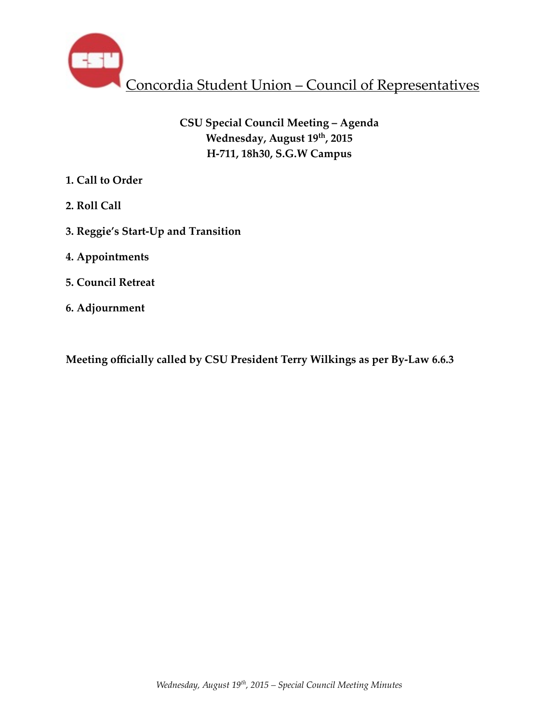

# **CSU Special Council Meeting – Agenda Wednesday, August 19th, 2015 H-711, 18h30, S.G.W Campus**

- **1. Call to Order**
- **2. Roll Call**
- **3. Reggie's Start-Up and Transition**
- **4. Appointments**
- **5. Council Retreat**
- **6. Adjournment**

**Meeting officially called by CSU President Terry Wilkings as per By-Law 6.6.3**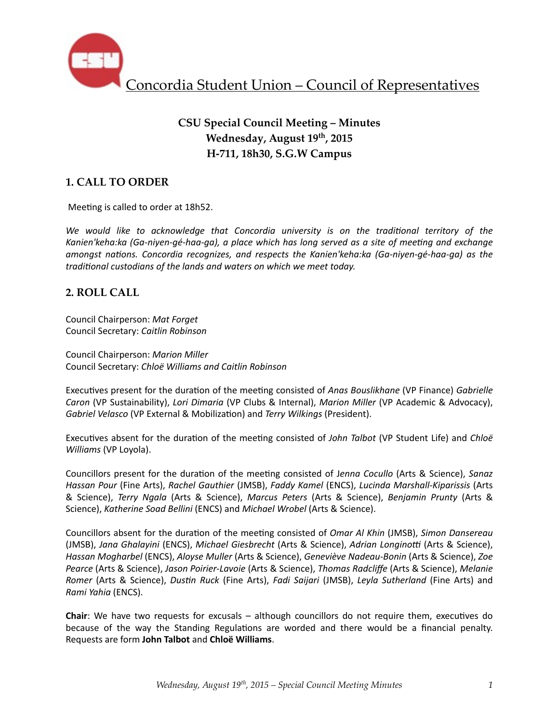

# **CSU Special Council Meeting – Minutes Wednesday, August 19th, 2015 H-711, 18h30, S.G.W Campus**

## **1. CALL TO ORDER**

Meeting is called to order at 18h52.

We would like to acknowledge that Concordia university is on the traditional territory of the Kanien'keha:ka (Ga-niyen-gé-haa-ga), a place which has long served as a site of meeting and exchange *amongst nations. Concordia recognizes, and respects the Kanien'keha:ka (Ga-niyen-gé-haa-ga)* as the *traditional custodians of the lands and waters on which we meet today.* 

### **2. ROLL CALL**

Council Chairperson: *Mat Forget* Council Secretary: *Caitlin Robinson*

Council Chairperson: *Marion Miller* Council Secretary: *Chloë Williams and Caitlin Robinson*

Executives present for the duration of the meeting consisted of *Anas Bouslikhane* (VP Finance) *Gabrielle Caron* (VP Sustainability), *Lori Dimaria* (VP Clubs & Internal), *Marion Miller* (VP Academic & Advocacy), *Gabriel Velasco* (VP External & Mobilization) and *Terry Wilkings* (President).

Executives absent for the duration of the meeting consisted of *John Talbot* (VP Student Life) and *Chloë Williams* (VP Loyola).

Councillors present for the duration of the meeting consisted of Jenna Cocullo (Arts & Science), *Sanaz Hassan Pour* (Fine Arts), *Rachel Gauthier* (JMSB), *Faddy Kamel* (ENCS), *Lucinda Marshall-Kiparissis* (Arts & Science), *Terry Ngala* (Arts & Science), *Marcus Peters* (Arts & Science), *Benjamin Prunty* (Arts & Science), Katherine Soad Bellini (ENCS) and Michael Wrobel (Arts & Science).

Councillors absent for the duration of the meeting consisted of *Omar Al Khin* (JMSB), *Simon Dansereau* (JMSB), Jana Ghalayini (ENCS), Michael Giesbrecht (Arts & Science), Adrian Longinotti (Arts & Science), *Hassan Mogharbel* (ENCS), *Aloyse Muller* (Arts & Science), *Geneviève Nadeau-Bonin* (Arts & Science), *Zoe Pearce* (Arts & Science), Jason Poirier-Lavoie (Arts & Science), Thomas Radcliffe (Arts & Science), Melanie *Romer* (Arts & Science), *Dustin Ruck* (Fine Arts), *Fadi Saijari* (JMSB), *Leyla Sutherland* (Fine Arts) and *Rami Yahia* (ENCS). 

**Chair**: We have two requests for excusals – although councillors do not require them, executives do because of the way the Standing Regulations are worded and there would be a financial penalty. Requests are form **John Talbot** and **Chloë Williams**.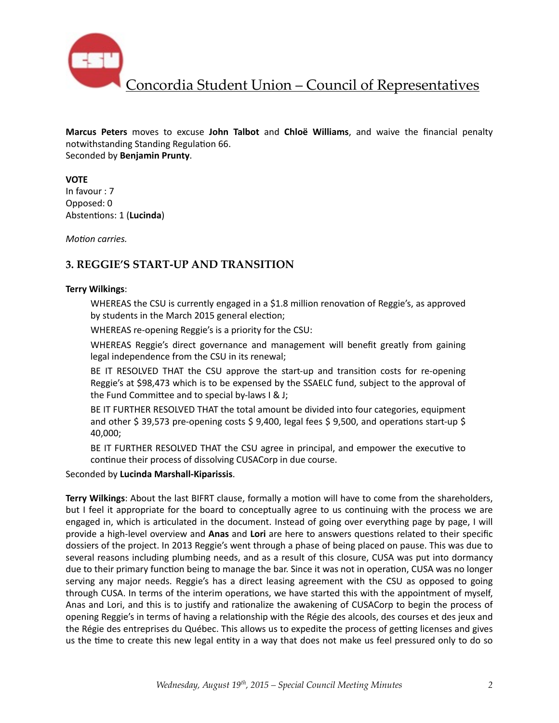

Concordia Student Union – Council of Representatives

**Marcus Peters** moves to excuse John Talbot and Chloë Williams, and waive the financial penalty notwithstanding Standing Regulation 66. Seconded by **Benjamin Prunty**. 

#### **VOTE**

In favour : 7 Opposed: 0 Abstentions: 1 (Lucinda)

*Motion carries.* 

## **3. REGGIE'S START-UP AND TRANSITION**

#### **Terry Wilkings**:

WHEREAS the CSU is currently engaged in a \$1.8 million renovation of Reggie's, as approved by students in the March 2015 general election;

WHEREAS re-opening Reggie's is a priority for the CSU:

WHEREAS Reggie's direct governance and management will benefit greatly from gaining legal independence from the CSU in its renewal;

BE IT RESOLVED THAT the CSU approve the start-up and transition costs for re-opening Reggie's at \$98,473 which is to be expensed by the SSAELC fund, subject to the approval of the Fund Committee and to special by-laws  $I \& J;$ 

BE IT FURTHER RESOLVED THAT the total amount be divided into four categories, equipment and other \$ 39,573 pre-opening costs \$ 9,400, legal fees \$ 9,500, and operations start-up \$ 40,000; 

BE IT FURTHER RESOLVED THAT the CSU agree in principal, and empower the executive to continue their process of dissolving CUSACorp in due course.

Seconded by **Lucinda Marshall-Kiparissis**. 

**Terry Wilkings:** About the last BIFRT clause, formally a motion will have to come from the shareholders, but I feel it appropriate for the board to conceptually agree to us continuing with the process we are engaged in, which is articulated in the document. Instead of going over everything page by page, I will provide a high-level overview and **Anas** and **Lori** are here to answers questions related to their specific dossiers of the project. In 2013 Reggie's went through a phase of being placed on pause. This was due to several reasons including plumbing needs, and as a result of this closure, CUSA was put into dormancy due to their primary function being to manage the bar. Since it was not in operation, CUSA was no longer serving any major needs. Reggie's has a direct leasing agreement with the CSU as opposed to going through CUSA. In terms of the interim operations, we have started this with the appointment of myself, Anas and Lori, and this is to justify and rationalize the awakening of CUSACorp to begin the process of opening Reggie's in terms of having a relationship with the Régie des alcools, des courses et des jeux and the Régie des entreprises du Québec. This allows us to expedite the process of getting licenses and gives us the time to create this new legal entity in a way that does not make us feel pressured only to do so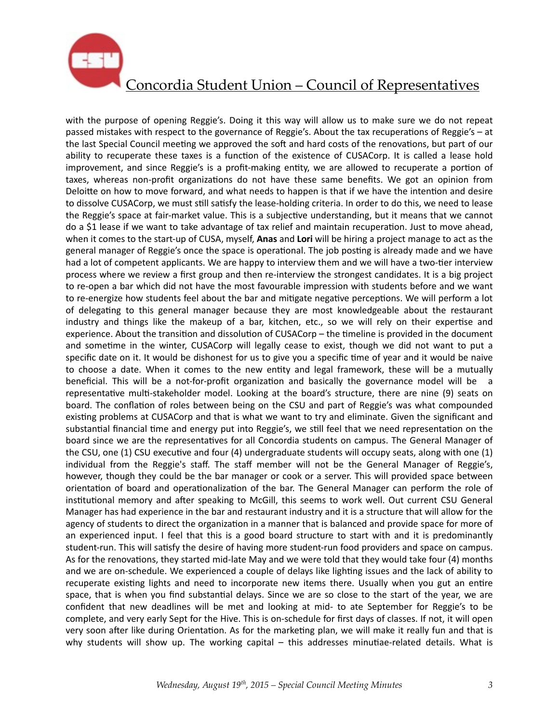

with the purpose of opening Reggie's. Doing it this way will allow us to make sure we do not repeat passed mistakes with respect to the governance of Reggie's. About the tax recuperations of Reggie's – at the last Special Council meeting we approved the soft and hard costs of the renovations, but part of our ability to recuperate these taxes is a function of the existence of CUSACorp. It is called a lease hold improvement, and since Reggie's is a profit-making entity, we are allowed to recuperate a portion of taxes, whereas non-profit organizations do not have these same benefits. We got an opinion from Deloitte on how to move forward, and what needs to happen is that if we have the intention and desire to dissolve CUSACorp, we must still satisfy the lease-holding criteria. In order to do this, we need to lease the Reggie's space at fair-market value. This is a subjective understanding, but it means that we cannot do a \$1 lease if we want to take advantage of tax relief and maintain recuperation. Just to move ahead, when it comes to the start-up of CUSA, myself, **Anas** and **Lori** will be hiring a project manage to act as the general manager of Reggie's once the space is operational. The job posting is already made and we have had a lot of competent applicants. We are happy to interview them and we will have a two-tier interview process where we review a first group and then re-interview the strongest candidates. It is a big project to re-open a bar which did not have the most favourable impression with students before and we want to re-energize how students feel about the bar and mitigate negative perceptions. We will perform a lot of delegating to this general manager because they are most knowledgeable about the restaurant industry and things like the makeup of a bar, kitchen, etc., so we will rely on their expertise and experience. About the transition and dissolution of CUSACorp – the timeline is provided in the document and sometime in the winter, CUSACorp will legally cease to exist, though we did not want to put a specific date on it. It would be dishonest for us to give you a specific time of year and it would be naive to choose a date. When it comes to the new entity and legal framework, these will be a mutually beneficial. This will be a not-for-profit organization and basically the governance model will be a representative multi-stakeholder model. Looking at the board's structure, there are nine (9) seats on board. The conflation of roles between being on the CSU and part of Reggie's was what compounded existing problems at CUSACorp and that is what we want to try and eliminate. Given the significant and substantial financial time and energy put into Reggie's, we still feel that we need representation on the board since we are the representatives for all Concordia students on campus. The General Manager of the CSU, one  $(1)$  CSU executive and four  $(4)$  undergraduate students will occupy seats, along with one  $(1)$ individual from the Reggie's staff. The staff member will not be the General Manager of Reggie's, however, though they could be the bar manager or cook or a server. This will provided space between orientation of board and operationalization of the bar. The General Manager can perform the role of institutional memory and after speaking to McGill, this seems to work well. Out current CSU General Manager has had experience in the bar and restaurant industry and it is a structure that will allow for the agency of students to direct the organization in a manner that is balanced and provide space for more of an experienced input. I feel that this is a good board structure to start with and it is predominantly student-run. This will satisfy the desire of having more student-run food providers and space on campus. As for the renovations, they started mid-late May and we were told that they would take four (4) months and we are on-schedule. We experienced a couple of delays like lighting issues and the lack of ability to recuperate existing lights and need to incorporate new items there. Usually when you gut an entire space, that is when you find substantial delays. Since we are so close to the start of the year, we are confident that new deadlines will be met and looking at mid- to ate September for Reggie's to be complete, and very early Sept for the Hive. This is on-schedule for first days of classes. If not, it will open very soon after like during Orientation. As for the marketing plan, we will make it really fun and that is why students will show up. The working capital - this addresses minutiae-related details. What is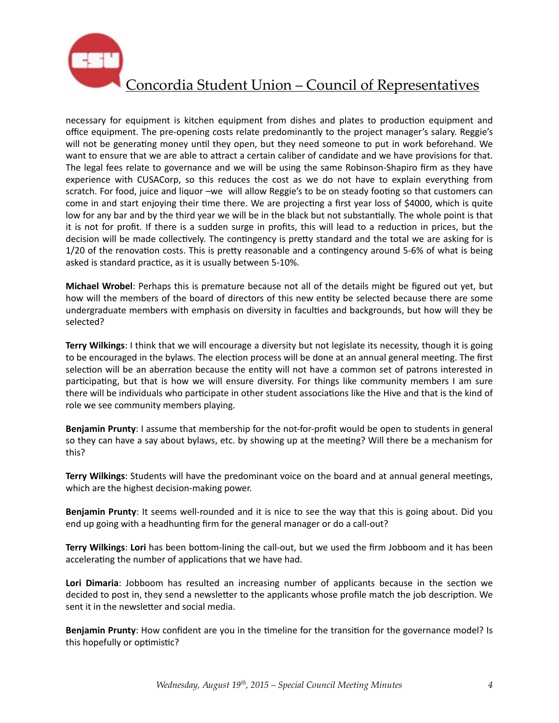

necessary for equipment is kitchen equipment from dishes and plates to production equipment and office equipment. The pre-opening costs relate predominantly to the project manager's salary. Reggie's will not be generating money until they open, but they need someone to put in work beforehand. We want to ensure that we are able to attract a certain caliber of candidate and we have provisions for that. The legal fees relate to governance and we will be using the same Robinson-Shapiro firm as they have experience with CUSACorp, so this reduces the cost as we do not have to explain everything from scratch. For food, juice and liquor –we will allow Reggie's to be on steady footing so that customers can come in and start enjoying their time there. We are projecting a first year loss of \$4000, which is quite low for any bar and by the third year we will be in the black but not substantially. The whole point is that it is not for profit. If there is a sudden surge in profits, this will lead to a reduction in prices, but the decision will be made collectively. The contingency is pretty standard and the total we are asking for is 1/20 of the renovation costs. This is pretty reasonable and a contingency around 5-6% of what is being asked is standard practice, as it is usually between 5-10%.

**Michael Wrobel**: Perhaps this is premature because not all of the details might be figured out yet, but how will the members of the board of directors of this new entity be selected because there are some undergraduate members with emphasis on diversity in faculties and backgrounds, but how will they be selected? 

Terry Wilkings: I think that we will encourage a diversity but not legislate its necessity, though it is going to be encouraged in the bylaws. The election process will be done at an annual general meeting. The first selection will be an aberration because the entity will not have a common set of patrons interested in participating, but that is how we will ensure diversity. For things like community members I am sure there will be individuals who participate in other student associations like the Hive and that is the kind of role we see community members playing.

**Benjamin Prunty**: I assume that membership for the not-for-profit would be open to students in general so they can have a say about bylaws, etc. by showing up at the meeting? Will there be a mechanism for this? 

**Terry Wilkings**: Students will have the predominant voice on the board and at annual general meetings, which are the highest decision-making power.

**Benjamin Prunty**: It seems well-rounded and it is nice to see the way that this is going about. Did you end up going with a headhunting firm for the general manager or do a call-out?

**Terry Wilkings: Lori** has been bottom-lining the call-out, but we used the firm Jobboom and it has been accelerating the number of applications that we have had.

Lori Dimaria: Jobboom has resulted an increasing number of applicants because in the section we decided to post in, they send a newsletter to the applicants whose profile match the job description. We sent it in the newsletter and social media.

**Benjamin Prunty**: How confident are you in the timeline for the transition for the governance model? Is this hopefully or optimistic?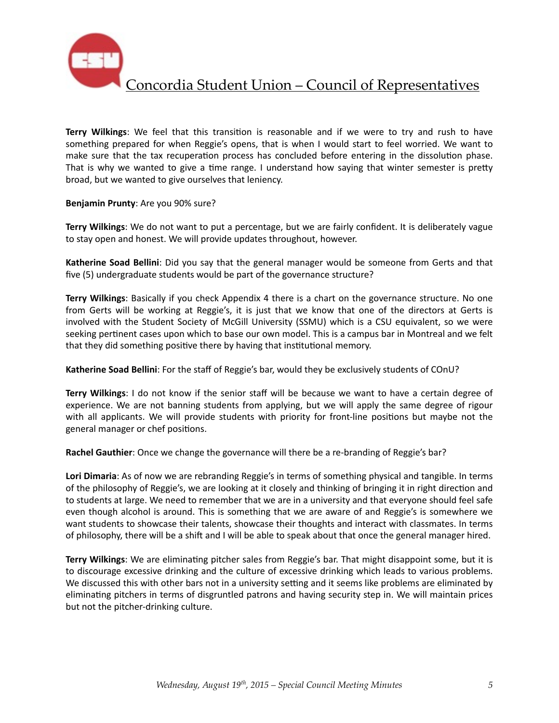

Concordia Student Union – Council of Representatives

**Terry Wilkings:** We feel that this transition is reasonable and if we were to try and rush to have something prepared for when Reggie's opens, that is when I would start to feel worried. We want to make sure that the tax recuperation process has concluded before entering in the dissolution phase. That is why we wanted to give a time range. I understand how saying that winter semester is pretty broad, but we wanted to give ourselves that leniency.

#### **Benjamin Prunty**: Are you 90% sure?

**Terry Wilkings:** We do not want to put a percentage, but we are fairly confident. It is deliberately vague to stay open and honest. We will provide updates throughout, however.

**Katherine Soad Bellini**: Did you say that the general manager would be someone from Gerts and that five (5) undergraduate students would be part of the governance structure?

**Terry Wilkings**: Basically if you check Appendix 4 there is a chart on the governance structure. No one from Gerts will be working at Reggie's, it is just that we know that one of the directors at Gerts is involved with the Student Society of McGill University (SSMU) which is a CSU equivalent, so we were seeking pertinent cases upon which to base our own model. This is a campus bar in Montreal and we felt that they did something positive there by having that institutional memory.

**Katherine Soad Bellini**: For the staff of Reggie's bar, would they be exclusively students of COnU?

**Terry Wilkings**: I do not know if the senior staff will be because we want to have a certain degree of experience. We are not banning students from applying, but we will apply the same degree of rigour with all applicants. We will provide students with priority for front-line positions but maybe not the general manager or chef positions.

**Rachel Gauthier**: Once we change the governance will there be a re-branding of Reggie's bar?

Lori Dimaria: As of now we are rebranding Reggie's in terms of something physical and tangible. In terms of the philosophy of Reggie's, we are looking at it closely and thinking of bringing it in right direction and to students at large. We need to remember that we are in a university and that everyone should feel safe even though alcohol is around. This is something that we are aware of and Reggie's is somewhere we want students to showcase their talents, showcase their thoughts and interact with classmates. In terms of philosophy, there will be a shift and I will be able to speak about that once the general manager hired.

**Terry Wilkings**: We are eliminating pitcher sales from Reggie's bar. That might disappoint some, but it is to discourage excessive drinking and the culture of excessive drinking which leads to various problems. We discussed this with other bars not in a university setting and it seems like problems are eliminated by eliminating pitchers in terms of disgruntled patrons and having security step in. We will maintain prices but not the pitcher-drinking culture.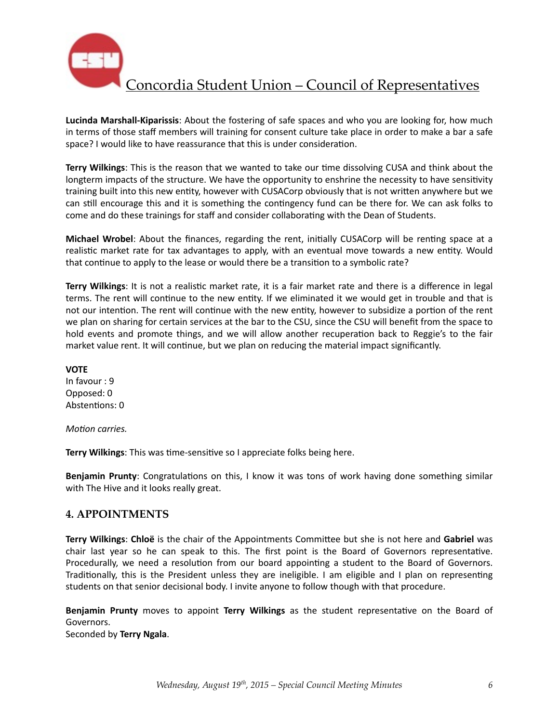

**Lucinda Marshall-Kiparissis**: About the fostering of safe spaces and who you are looking for, how much in terms of those staff members will training for consent culture take place in order to make a bar a safe space? I would like to have reassurance that this is under consideration.

**Terry Wilkings**: This is the reason that we wanted to take our time dissolving CUSA and think about the longterm impacts of the structure. We have the opportunity to enshrine the necessity to have sensitivity training built into this new entity, however with CUSACorp obviously that is not written anywhere but we can still encourage this and it is something the contingency fund can be there for. We can ask folks to come and do these trainings for staff and consider collaborating with the Dean of Students.

**Michael Wrobel**: About the finances, regarding the rent, initially CUSACorp will be renting space at a realistic market rate for tax advantages to apply, with an eventual move towards a new entity. Would that continue to apply to the lease or would there be a transition to a symbolic rate?

Terry Wilkings: It is not a realistic market rate, it is a fair market rate and there is a difference in legal terms. The rent will continue to the new entity. If we eliminated it we would get in trouble and that is not our intention. The rent will continue with the new entity, however to subsidize a portion of the rent we plan on sharing for certain services at the bar to the CSU, since the CSU will benefit from the space to hold events and promote things, and we will allow another recuperation back to Reggie's to the fair market value rent. It will continue, but we plan on reducing the material impact significantly.

**VOTE** In favour : 9 Opposed: 0 Abstentions: 0

*Motion carries.* 

**Terry Wilkings:** This was time-sensitive so I appreciate folks being here.

**Benjamin Prunty**: Congratulations on this, I know it was tons of work having done something similar with The Hive and it looks really great.

#### **4. APPOINTMENTS**

**Terry Wilkings: Chloë** is the chair of the Appointments Committee but she is not here and Gabriel was chair last year so he can speak to this. The first point is the Board of Governors representative. Procedurally, we need a resolution from our board appointing a student to the Board of Governors. Traditionally, this is the President unless they are ineligible. I am eligible and I plan on representing students on that senior decisional body. I invite anyone to follow though with that procedure.

**Benjamin Prunty** moves to appoint Terry Wilkings as the student representative on the Board of Governors. 

Seconded by **Terry Ngala**.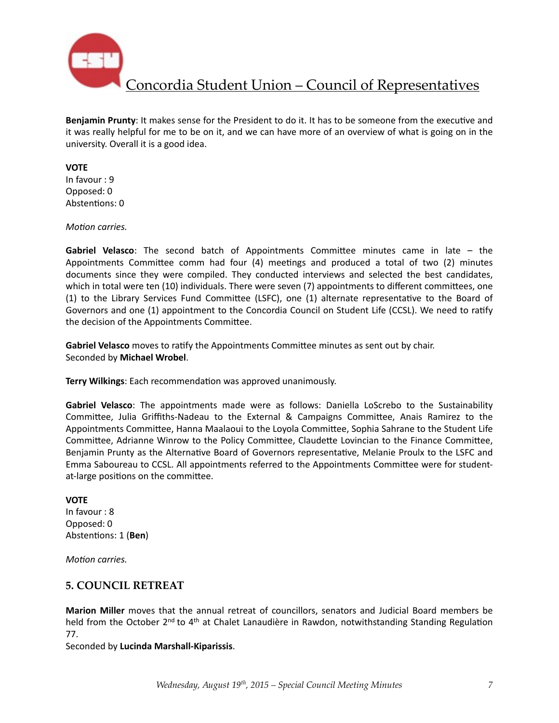

Concordia Student Union – Council of Representatives

**Benjamin Prunty**: It makes sense for the President to do it. It has to be someone from the executive and it was really helpful for me to be on it, and we can have more of an overview of what is going on in the university. Overall it is a good idea.

#### **VOTE**

In favour : 9 Opposed: 0 Abstentions: 0

*Motion carries.* 

**Gabriel Velasco**: The second batch of Appointments Committee minutes came in late – the Appointments Committee comm had four  $(4)$  meetings and produced a total of two  $(2)$  minutes documents since they were compiled. They conducted interviews and selected the best candidates, which in total were ten (10) individuals. There were seven (7) appointments to different committees, one (1) to the Library Services Fund Committee (LSFC), one (1) alternate representative to the Board of Governors and one (1) appointment to the Concordia Council on Student Life (CCSL). We need to ratify the decision of the Appointments Committee.

Gabriel Velasco moves to ratify the Appointments Committee minutes as sent out by chair. Seconded by **Michael Wrobel**. 

**Terry Wilkings:** Each recommendation was approved unanimously.

**Gabriel Velasco**: The appointments made were as follows: Daniella LoScrebo to the Sustainability Committee, Julia Griffiths-Nadeau to the External & Campaigns Committee, Anais Ramirez to the Appointments Committee, Hanna Maalaoui to the Loyola Committee, Sophia Sahrane to the Student Life Committee, Adrianne Winrow to the Policy Committee, Claudette Lovincian to the Finance Committee, Benjamin Prunty as the Alternative Board of Governors representative, Melanie Proulx to the LSFC and Emma Saboureau to CCSL. All appointments referred to the Appointments Committee were for studentat-large positions on the committee.

#### **VOTE**

In favour : 8 Opposed: 0 Abstentions: 1 (Ben)

*Motion carries.* 

### **5. COUNCIL RETREAT**

**Marion Miller** moves that the annual retreat of councillors, senators and Judicial Board members be held from the October 2<sup>nd</sup> to 4<sup>th</sup> at Chalet Lanaudière in Rawdon, notwithstanding Standing Regulation 77. 

Seconded by **Lucinda Marshall-Kiparissis**.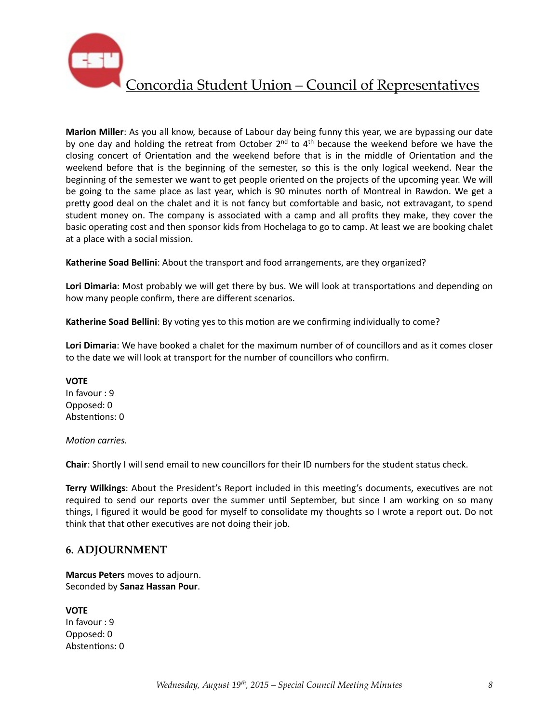

Marion Miller: As you all know, because of Labour day being funny this year, we are bypassing our date by one day and holding the retreat from October  $2^{nd}$  to  $4^{th}$  because the weekend before we have the closing concert of Orientation and the weekend before that is in the middle of Orientation and the weekend before that is the beginning of the semester, so this is the only logical weekend. Near the beginning of the semester we want to get people oriented on the projects of the upcoming year. We will be going to the same place as last year, which is 90 minutes north of Montreal in Rawdon. We get a pretty good deal on the chalet and it is not fancy but comfortable and basic, not extravagant, to spend student money on. The company is associated with a camp and all profits they make, they cover the basic operating cost and then sponsor kids from Hochelaga to go to camp. At least we are booking chalet at a place with a social mission.

**Katherine Soad Bellini**: About the transport and food arrangements, are they organized?

Lori Dimaria: Most probably we will get there by bus. We will look at transportations and depending on how many people confirm, there are different scenarios.

**Katherine Soad Bellini**: By voting yes to this motion are we confirming individually to come?

Lori Dimaria: We have booked a chalet for the maximum number of of councillors and as it comes closer to the date we will look at transport for the number of councillors who confirm.

**VOTE** In favour : 9 Opposed: 0 Abstentions: 0

*Motion carries.* 

**Chair:** Shortly I will send email to new councillors for their ID numbers for the student status check.

**Terry Wilkings:** About the President's Report included in this meeting's documents, executives are not required to send our reports over the summer until September, but since I am working on so many things, I figured it would be good for myself to consolidate my thoughts so I wrote a report out. Do not think that that other executives are not doing their job.

### **6. ADJOURNMENT**

**Marcus Peters** moves to adjourn. Seconded by **Sanaz Hassan Pour**. 

**VOTE** In favour : 9 Opposed: 0 Abstentions: 0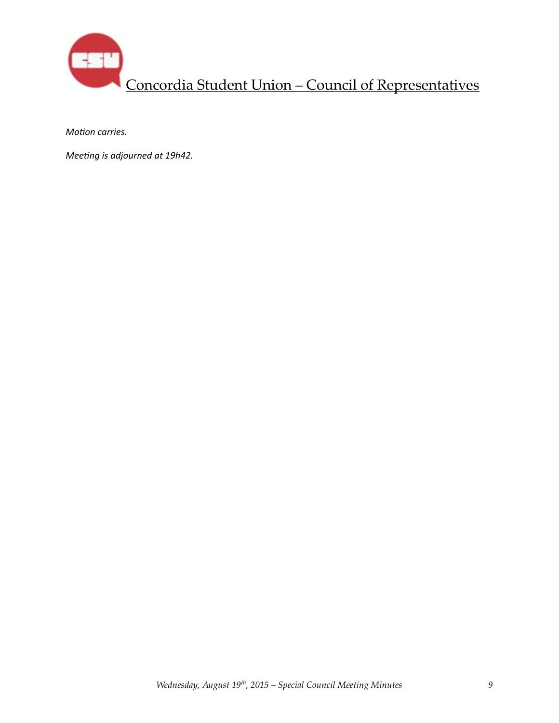

*Motion carries.* 

*Meeting is adjourned at 19h42.*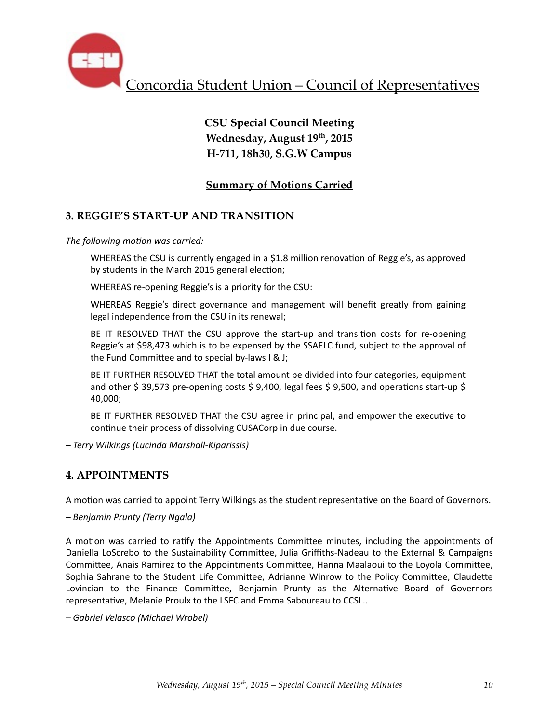

# **CSU Special Council Meeting Wednesday, August 19th, 2015 H-711, 18h30, S.G.W Campus**

## **Summary of Motions Carried**

## **3. REGGIE'S START-UP AND TRANSITION**

The following motion was carried:

WHEREAS the CSU is currently engaged in a \$1.8 million renovation of Reggie's, as approved by students in the March 2015 general election;

WHEREAS re-opening Reggie's is a priority for the CSU:

WHEREAS Reggie's direct governance and management will benefit greatly from gaining legal independence from the CSU in its renewal;

BE IT RESOLVED THAT the CSU approve the start-up and transition costs for re-opening Reggie's at \$98,473 which is to be expensed by the SSAELC fund, subject to the approval of the Fund Committee and to special by-laws  $I \& J;$ 

BE IT FURTHER RESOLVED THAT the total amount be divided into four categories, equipment and other \$ 39,573 pre-opening costs \$ 9,400, legal fees \$ 9,500, and operations start-up \$ 40,000; 

BE IT FURTHER RESOLVED THAT the CSU agree in principal, and empower the executive to continue their process of dissolving CUSACorp in due course.

*– Terry Wilkings (Lucinda Marshall-Kiparissis)* 

### **4. APPOINTMENTS**

A motion was carried to appoint Terry Wilkings as the student representative on the Board of Governors.

*– Benjamin Prunty (Terry Ngala)* 

A motion was carried to ratify the Appointments Committee minutes, including the appointments of Daniella LoScrebo to the Sustainability Committee, Julia Griffiths-Nadeau to the External & Campaigns Committee, Anais Ramirez to the Appointments Committee, Hanna Maalaoui to the Loyola Committee, Sophia Sahrane to the Student Life Committee, Adrianne Winrow to the Policy Committee, Claudette Lovincian to the Finance Committee, Benjamin Prunty as the Alternative Board of Governors representative, Melanie Proulx to the LSFC and Emma Saboureau to CCSL..

*– Gabriel Velasco (Michael Wrobel)*